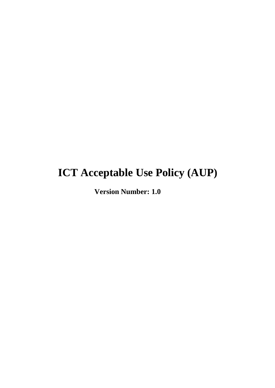# **ICT Acceptable Use Policy (AUP)**

**Version Number: 1.0**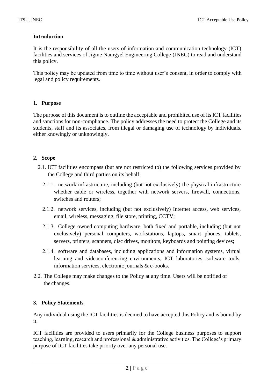# **Introduction**

It is the responsibility of all the users of information and communication technology (ICT) facilities and services of Jigme Namgyel Engineering College (JNEC) to read and understand this policy.

This policy may be updated from time to time without user's consent, in order to comply with legal and policy requirements.

## **1. Purpose**

The purpose of this document is to outline the acceptable and prohibited use of its ICT facilities and sanctions for non-compliance. The policy addresses the need to protect the College and its students, staff and its associates, from illegal or damaging use of technology by individuals, either knowingly or unknowingly.

# **2. Scope**

- 2.1. ICT facilities encompass (but are not restricted to) the following services provided by the College and third parties on its behalf:
	- 2.1.1. network infrastructure, including (but not exclusively) the physical infrastructure whether cable or wireless, together with network servers, firewall, connections, switches and routers;
	- 2.1.2. network services, including (but not exclusively) Internet access, web services, email, wireless, messaging, file store, printing, CCTV;
	- 2.1.3. College owned computing hardware, both fixed and portable, including (but not exclusively) personal computers, workstations, laptops, smart phones, tablets, servers, printers, scanners, disc drives, monitors, keyboards and pointing devices;
	- 2.1.4. software and databases, including applications and information systems, virtual learning and videoconferencing environments, ICT laboratories, software tools, information services, electronic journals & e-books.
- 2.2. The College may make changes to the Policy at any time. Users will be notified of the changes.

### **3. Policy Statements**

Any individual using the ICT facilities is deemed to have accepted this Policy and is bound by it.

ICT facilities are provided to users primarily for the College business purposes to support teaching, learning, research and professional & administrative activities. The College's primary purpose of ICT facilities take priority over any personal use.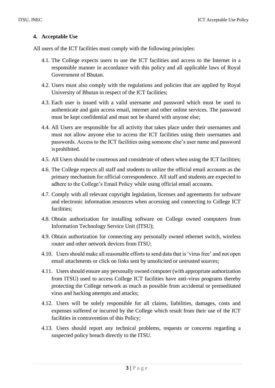# **4. Acceptable Use**

All users of the ICT facilities must comply with the following principles:

- 4.1. The College expects users to use the ICT facilities and access to the Internet in a responsible manner in accordance with this policy and all applicable laws of Royal Government of Bhutan.
- 4.2. Users must also comply with the regulations and policies that are applied by Royal University of Bhutan in respect of the ICT facilities;
- 4.3. Each user is issued with a valid username and password which must be used to authenticate and gain access email, internet and other online services. The password must be kept confidential and must not be shared with anyone else;
- 4.4. All Users are responsible for all activity that takes place under their usernames and must not allow anyone else to access the ICT facilities using their usernames and passwords. Access to the ICT facilities using someone else's user name and password isprohibited.
- 4.5. All Users should be courteous and considerate of others when using the ICT facilities;
- 4.6. The College expects all staff and students to utilize the official email accounts as the primary mechanism for official correspondence. All staff and students are expected to adhere to the College's Email Policy while using official email accounts.
- 4.7. Comply with all relevant copyright legislation, licenses and agreements for software and electronic information resources when accessing and connecting to College ICT facilities;
- 4.8. Obtain authorization for installing software on College owned computers from Information Technology Service Unit (ITSU);
- 4.9. Obtain authorization for connecting any personally owned ethernet switch, wireless router and other network devices from ITSU;
- 4.10. Users should make all reasonable efforts to send data that is 'virus free' and not open email attachments or click on links sent by unsolicited or untrusted sources;
- 4.11. Users should ensure any personally owned computer (with appropriate authorization from ITSU) used to access College ICT facilities have anti-virus programs thereby protecting the College network as much as possible from accidental or premeditated virus and hacking attempts and attacks;
- 4.12. Users will be solely responsible for all claims, liabilities, damages, costs and expenses suffered or incurred by the College which result from their use of the ICT facilities in contravention of this Policy;
- 4.13. Users should report any technical problems, requests or concerns regarding a suspected policy breach directly to the ITSU.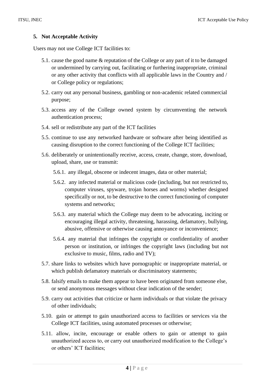## **5. Not Acceptable Activity**

Users may not use College ICT facilities to:

- 5.1. cause the good name & reputation of the College or any part of it to be damaged or undermined by carrying out, facilitating or furthering inappropriate, criminal or any other activity that conflicts with all applicable laws in the Country and / or College policy or regulations;
- 5.2. carry out any personal business, gambling or non-academic related commercial purpose;
- 5.3. access any of the College owned system by circumventing the network authentication process;
- 5.4. sell or redistribute any part of the ICT facilities
- 5.5. continue to use any networked hardware or software after being identified as causing disruption to the correct functioning of the College ICT facilities;
- 5.6. deliberately or unintentionally receive, access, create, change, store, download, upload, share, use or transmit:
	- 5.6.1. any illegal, obscene or indecent images, data or other material;
	- 5.6.2. any infected material or malicious code (including, but not restricted to, computer viruses, spyware, trojan horses and worms) whether designed specifically or not, to be destructive to the correct functioning of computer systems and networks;
	- 5.6.3. any material which the College may deem to be advocating, inciting or encouraging illegal activity, threatening, harassing, defamatory, bullying, abusive, offensive or otherwise causing annoyance or inconvenience;
	- 5.6.4. any material that infringes the copyright or confidentiality of another person or institution, or infringes the copyright laws (including but not exclusive to music, films, radio and TV);
- 5.7. share links to websites which have pornographic or inappropriate material, or which publish defamatory materials or discriminatory statements;
- 5.8. falsify emails to make them appear to have been originated from someone else, or send anonymous messages without clear indication of the sender;
- 5.9. carry out activities that criticize or harm individuals or that violate the privacy of other individuals;
- 5.10. gain or attempt to gain unauthorized access to facilities or services via the College ICT facilities, using automated processes or otherwise;
- 5.11. allow, incite, encourage or enable others to gain or attempt to gain unauthorized access to, or carry out unauthorized modification to the College's or others' ICT facilities;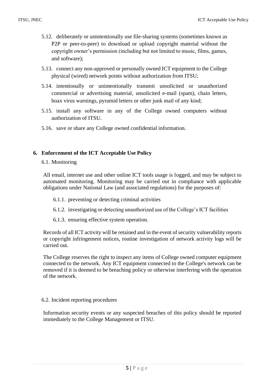- 5.12. deliberately or unintentionally use file-sharing systems (sometimes known as P2P or peer-to-peer) to download or upload copyright material without the copyright owner's permission (including but not limited to music, films, games, and software);
- 5.13. connect any non-approved or personally owned ICT equipment to the College physical (wired) network points without authorization from ITSU;
- 5.14. intentionally or unintentionally transmit unsolicited or unauthorized commercial or advertising material, unsolicited e-mail (spam), chain letters, hoax virus warnings, pyramid letters or other junk mail of any kind;
- 5.15. install any software in any of the College owned computers without authorization of ITSU.
- 5.16. save or share any College owned confidential information.

# **6. Enforcement of the ICT Acceptable Use Policy**

6.1. Monitoring

All email, internet use and other online ICT tools usage is logged, and may be subject to automated monitoring. Monitoring may be carried out in compliance with applicable obligations under National Law (and associated regulations) for the purposes of:

- 6.1.1. preventing or detecting criminal activities
- 6.1.2. investigating or detecting unauthorized use of the College's ICT facilities
- 6.1.3. ensuring effective system operation.

Records of all ICT activity will be retained and in the event of security vulnerability reports or copyright infringement notices, routine investigation of network activity logs will be carried out.

The College reserves the right to inspect any items of College owned computer equipment connected to the network. Any ICT equipment connected to the College's network can be removed if it is deemed to be breaching policy or otherwise interfering with the operation of the network.

### 6.2. Incident reporting procedures

Information security events or any suspected breaches of this policy should be reported immediately to the College Management or ITSU.